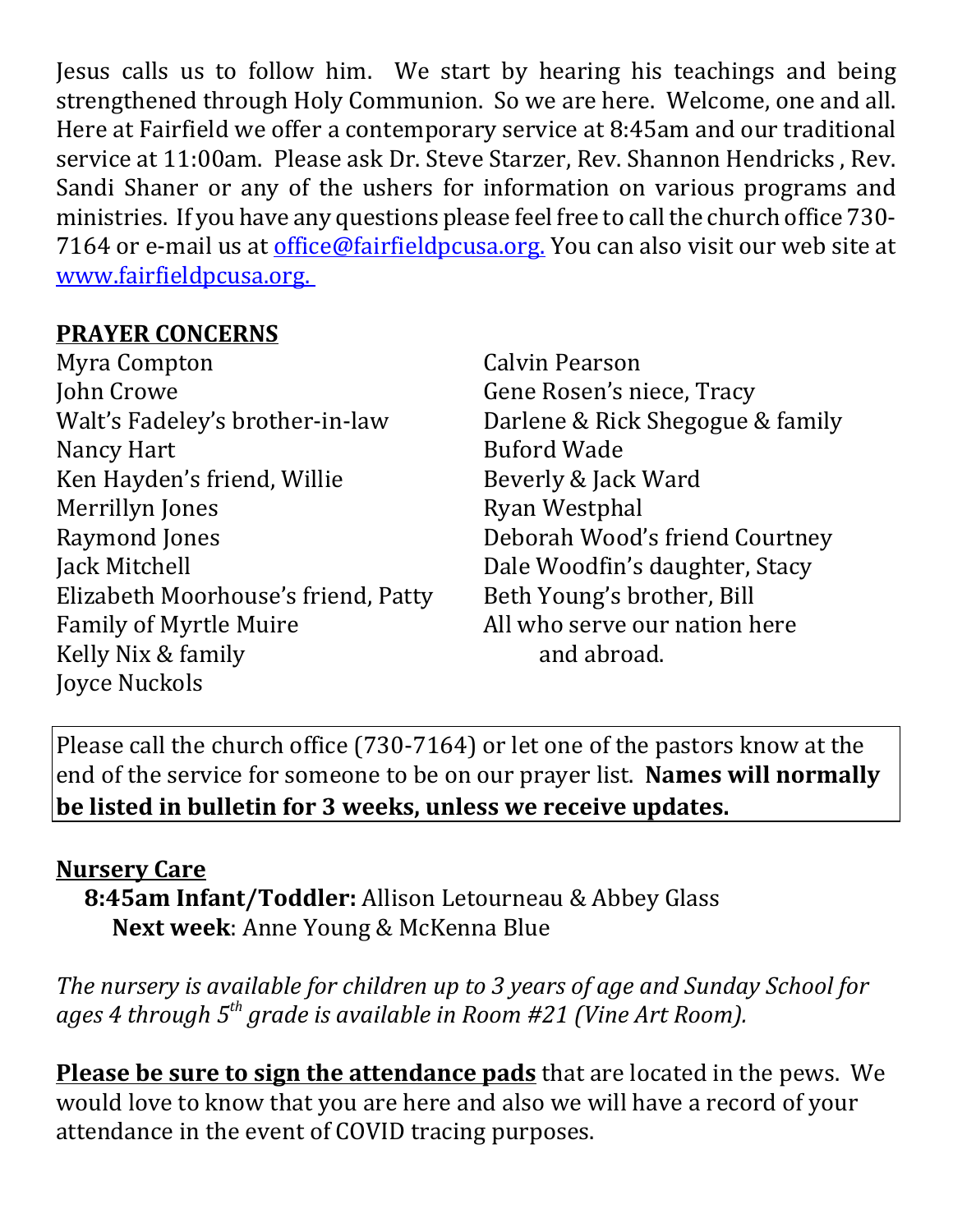Jesus calls us to follow him. We start by hearing his teachings and being strengthened through Holy Communion. So we are here. Welcome, one and all. Here at Fairfield we offer a contemporary service at 8:45am and our traditional service at 11:00am. Please ask Dr. Steve Starzer, Rev. Shannon Hendricks , Rev. Sandi Shaner or any of the ushers for information on various programs and ministries. If you have any questions please feel free to call the church office 730- 7164 or e-mail us at *office@fairfieldpcusa.org*. You can also visit our web site at www.fairfieldpcusa.org.

## **PRAYER CONCERNS**

Myra Compton John Crowe Walt's Fadeley's brother-in-law Nancy Hart Ken Hayden's friend, Willie Merrillyn Jones Raymond Jones Jack Mitchell Elizabeth Moorhouse's friend, Patty Family of Myrtle Muire Kelly Nix & family Joyce Nuckols

Calvin Pearson Gene Rosen's niece, Tracy Darlene & Rick Shegogue & family Buford Wade Beverly & Jack Ward Ryan Westphal Deborah Wood's friend Courtney Dale Woodfin's daughter, Stacy Beth Young's brother, Bill All who serve our nation here and abroad.

Please call the church office (730-7164) or let one of the pastors know at the end of the service for someone to be on our prayer list. **Names will normally be listed in bulletin for 3 weeks, unless we receive updates.**

## **Nursery Care**

**8:45am Infant/Toddler:** Allison Letourneau & Abbey Glass **Next week**: Anne Young & McKenna Blue

*The nursery is available for children up to 3 years of age and Sunday School for ages 4 through 5th grade is available in Room #21 (Vine Art Room).*

**Please be sure to sign the attendance pads** that are located in the pews. We would love to know that you are here and also we will have a record of your attendance in the event of COVID tracing purposes.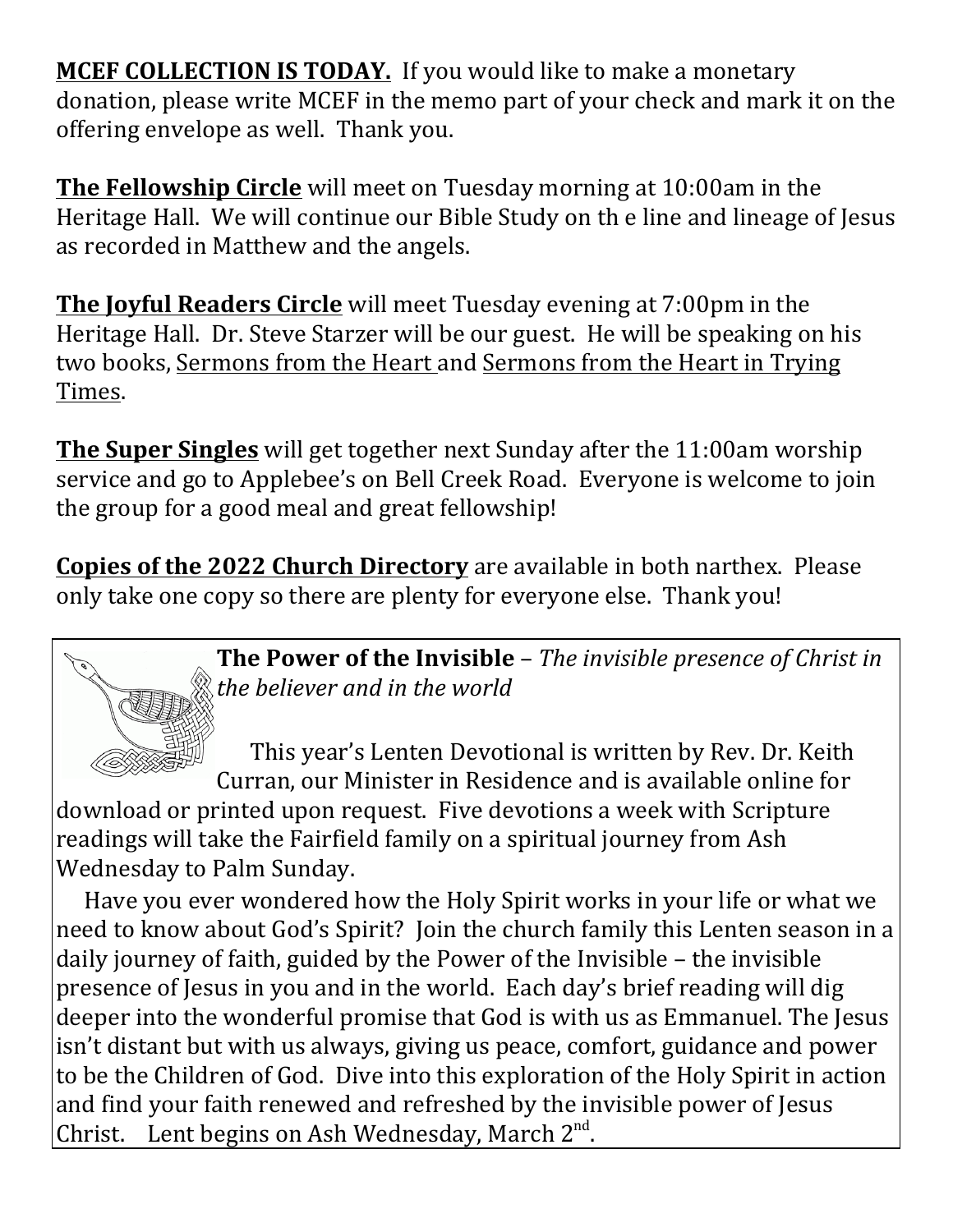**MCEF COLLECTION IS TODAY.** If you would like to make a monetary donation, please write MCEF in the memo part of your check and mark it on the offering envelope as well. Thank you.

**The Fellowship Circle** will meet on Tuesday morning at 10:00am in the Heritage Hall. We will continue our Bible Study on th e line and lineage of Jesus as recorded in Matthew and the angels.

**The Joyful Readers Circle** will meet Tuesday evening at 7:00pm in the Heritage Hall. Dr. Steve Starzer will be our guest. He will be speaking on his two books, Sermons from the Heart and Sermons from the Heart in Trying Times.

**The Super Singles** will get together next Sunday after the 11:00am worship service and go to Applebee's on Bell Creek Road. Everyone is welcome to join the group for a good meal and great fellowship!

**Copies of the 2022 Church Directory** are available in both narthex. Please only take one copy so there are plenty for everyone else. Thank you!



**The Power of the Invisible** – *The invisible presence of Christ in the believer and in the world*

 This year's Lenten Devotional is written by Rev. Dr. Keith Curran, our Minister in Residence and is available online for download or printed upon request. Five devotions a week with Scripture readings will take the Fairfield family on a spiritual journey from Ash Wednesday to Palm Sunday.

Have you ever wondered how the Holy Spirit works in your life or what we need to know about God's Spirit? Join the church family this Lenten season in a daily journey of faith, guided by the Power of the Invisible – the invisible presence of Jesus in you and in the world. Each day's brief reading will dig deeper into the wonderful promise that God is with us as Emmanuel. The Jesus isn't distant but with us always, giving us peace, comfort, guidance and power to be the Children of God. Dive into this exploration of the Holy Spirit in action and find your faith renewed and refreshed by the invisible power of Jesus Christ. Lent begins on Ash Wednesday, March 2<sup>nd</sup>.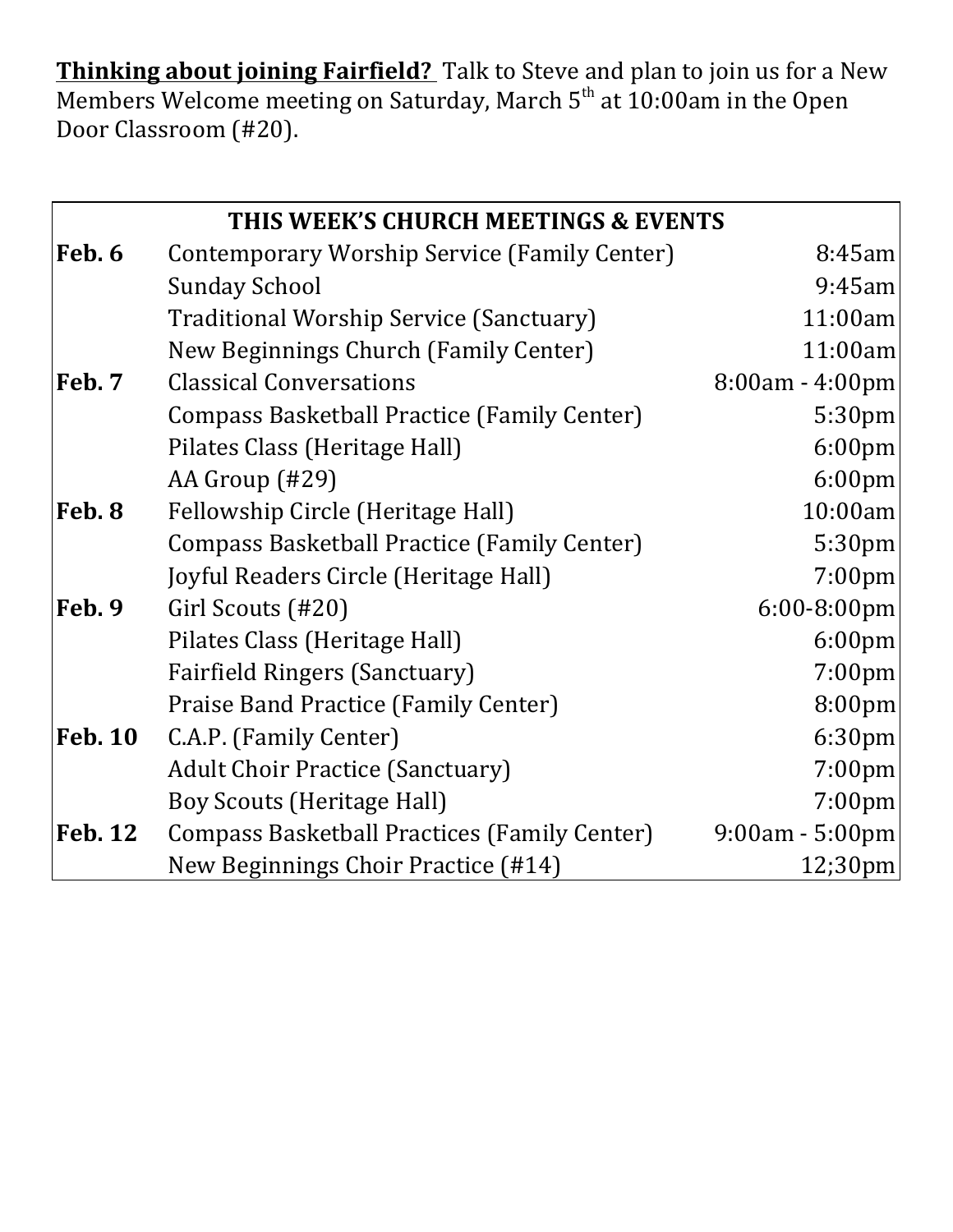**Thinking about joining Fairfield?** Talk to Steve and plan to join us for a New Members Welcome meeting on Saturday, March  $5<sup>th</sup>$  at 10:00am in the Open Door Classroom (#20).

| THIS WEEK'S CHURCH MEETINGS & EVENTS |                                                     |                    |
|--------------------------------------|-----------------------------------------------------|--------------------|
| Feb. 6                               | Contemporary Worship Service (Family Center)        | 8:45am             |
|                                      | <b>Sunday School</b>                                | $9:45$ am          |
|                                      | Traditional Worship Service (Sanctuary)             | 11:00am            |
|                                      | New Beginnings Church (Family Center)               | 11:00am            |
| Feb. 7                               | <b>Classical Conversations</b>                      | 8:00am - 4:00pm    |
|                                      | <b>Compass Basketball Practice (Family Center)</b>  | 5:30pm             |
|                                      | Pilates Class (Heritage Hall)                       | $6:00$ pm          |
|                                      | AA Group (#29)                                      | 6:00 <sub>pm</sub> |
| Feb. 8                               | Fellowship Circle (Heritage Hall)                   | 10:00am            |
|                                      | Compass Basketball Practice (Family Center)         | 5:30pm             |
|                                      | Joyful Readers Circle (Heritage Hall)               | 7:00pm             |
| Feb. 9                               | Girl Scouts (#20)                                   | 6:00-8:00pm        |
|                                      | Pilates Class (Heritage Hall)                       | 6:00 <sub>pm</sub> |
|                                      | <b>Fairfield Ringers (Sanctuary)</b>                | 7:00pm             |
|                                      | Praise Band Practice (Family Center)                | 8:00pm             |
| <b>Feb. 10</b>                       | C.A.P. (Family Center)                              | 6:30 <sub>pm</sub> |
|                                      | <b>Adult Choir Practice (Sanctuary)</b>             | 7:00 <sub>pm</sub> |
|                                      | <b>Boy Scouts (Heritage Hall)</b>                   | 7:00 <sub>pm</sub> |
| <b>Feb. 12</b>                       | <b>Compass Basketball Practices (Family Center)</b> | $9:00am - 5:00pm$  |
|                                      | New Beginnings Choir Practice (#14)                 | 12;30pm            |